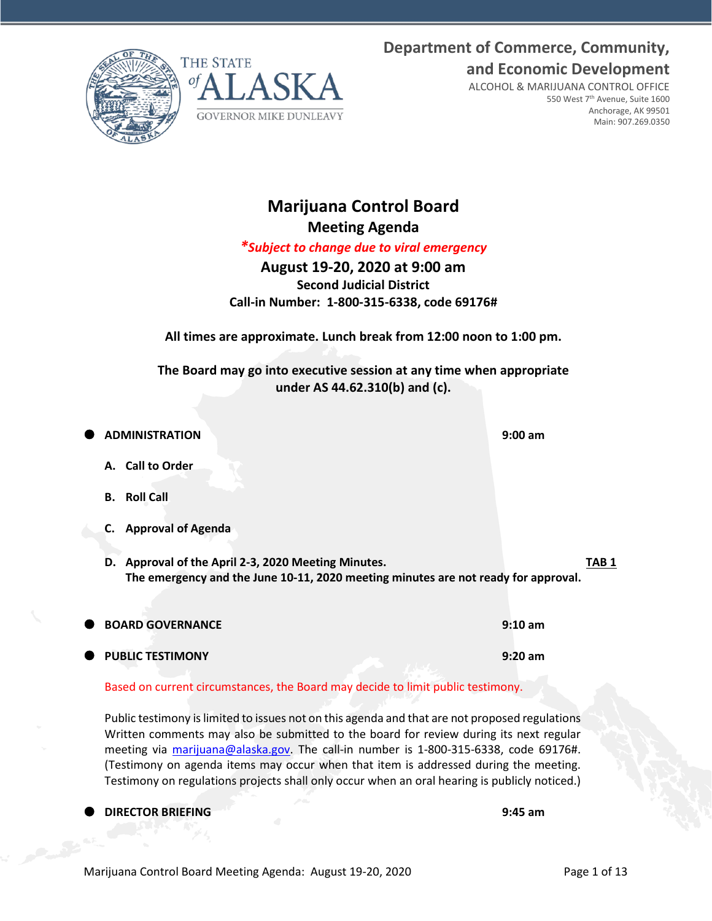Marijuana Control Board Meeting Agenda: August 19-20, 2020 Page 1 of 13

## **Department of Commerce, Community, and Economic Development**

ALCOHOL & MARIJUANA CONTROL OFFICE 550 West 7th Avenue, Suite 1600 Anchorage, AK 99501 Main: 907.269.0350

**Marijuana Control Board Meeting Agenda**

*\*Subject to change due to viral emergency*

**August 19-20, 2020 at 9:00 am Second Judicial District Call-in Number: 1-800-315-6338, code 69176#**

**All times are approximate. Lunch break from 12:00 noon to 1:00 pm.**

**The Board may go into executive session at any time when appropriate under AS 44.62.310(b) and (c).**

 **ADMINISTRATION 9:00 am A. Call to Order B. Roll Call C. Approval of Agenda D. Approval of the April 2-3, 2020 Meeting Minutes. TAB 1 The emergency and the June 10-11, 2020 meeting minutes are not ready for approval. BOARD GOVERNANCE 9:10 am PUBLIC TESTIMONY 9:20 am**

Based on current circumstances, the Board may decide to limit public testimony.

Public testimony is limited to issues not on this agenda and that are not proposed regulations Written comments may also be submitted to the board for review during its next regular meeting via [marijuana@alaska.gov.](mailto:marijuana@alaska.gov) The call-in number is 1-800-315-6338, code 69176#. (Testimony on agenda items may occur when that item is addressed during the meeting. Testimony on regulations projects shall only occur when an oral hearing is publicly noticed.)

**DIRECTOR BRIEFING 9:45 am**

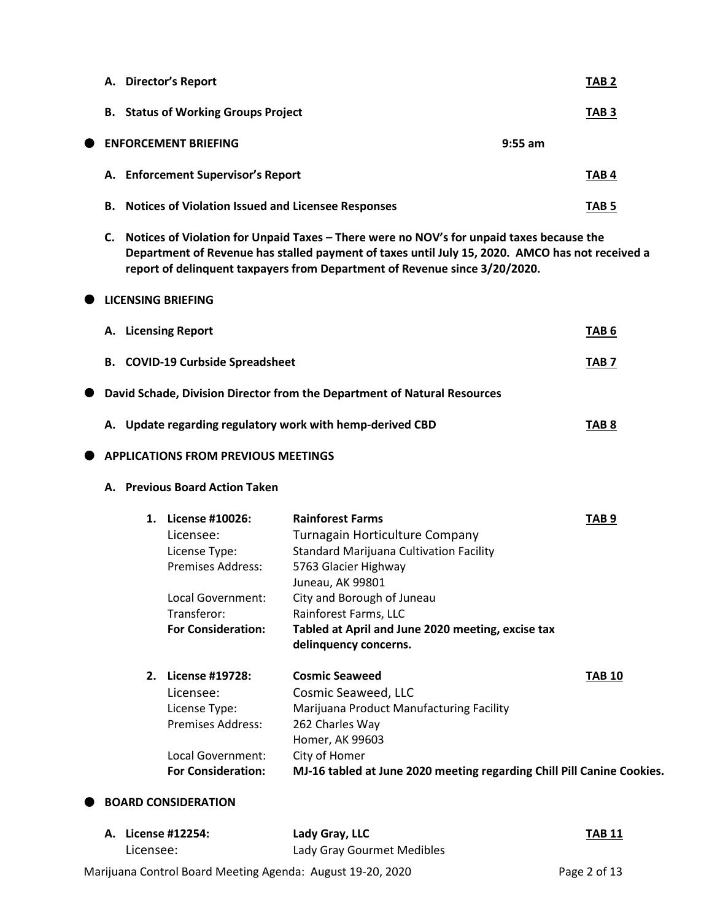|           |    |    | A. Director's Report                                                                                                                          |                                                                                                                                                                                                                                                                                              | TAB <sub>2</sub> |
|-----------|----|----|-----------------------------------------------------------------------------------------------------------------------------------------------|----------------------------------------------------------------------------------------------------------------------------------------------------------------------------------------------------------------------------------------------------------------------------------------------|------------------|
|           |    |    | <b>B.</b> Status of Working Groups Project                                                                                                    |                                                                                                                                                                                                                                                                                              | TAB <sub>3</sub> |
| $\bullet$ |    |    | <b>ENFORCEMENT BRIEFING</b>                                                                                                                   |                                                                                                                                                                                                                                                                                              | $9:55$ am        |
|           |    |    | A. Enforcement Supervisor's Report                                                                                                            |                                                                                                                                                                                                                                                                                              | TAB <sub>4</sub> |
|           | В. |    | <b>Notices of Violation Issued and Licensee Responses</b>                                                                                     |                                                                                                                                                                                                                                                                                              | <b>TAB 5</b>     |
|           |    |    |                                                                                                                                               | C. Notices of Violation for Unpaid Taxes - There were no NOV's for unpaid taxes because the<br>Department of Revenue has stalled payment of taxes until July 15, 2020. AMCO has not received a<br>report of delinquent taxpayers from Department of Revenue since 3/20/2020.                 |                  |
|           |    |    | <b>LICENSING BRIEFING</b>                                                                                                                     |                                                                                                                                                                                                                                                                                              |                  |
|           |    |    | A. Licensing Report                                                                                                                           |                                                                                                                                                                                                                                                                                              | TAB <sub>6</sub> |
|           |    |    | <b>B. COVID-19 Curbside Spreadsheet</b>                                                                                                       |                                                                                                                                                                                                                                                                                              | <b>TAB 7</b>     |
| $\bullet$ |    |    |                                                                                                                                               | David Schade, Division Director from the Department of Natural Resources                                                                                                                                                                                                                     |                  |
|           |    |    |                                                                                                                                               | A. Update regarding regulatory work with hemp-derived CBD                                                                                                                                                                                                                                    | TAB <sub>8</sub> |
|           |    |    | <b>APPLICATIONS FROM PREVIOUS MEETINGS</b>                                                                                                    |                                                                                                                                                                                                                                                                                              |                  |
|           |    |    | A. Previous Board Action Taken                                                                                                                |                                                                                                                                                                                                                                                                                              |                  |
|           |    |    | 1. License #10026:<br>Licensee:<br>License Type:<br><b>Premises Address:</b><br>Local Government:<br>Transferor:<br><b>For Consideration:</b> | <b>Rainforest Farms</b><br>Turnagain Horticulture Company<br><b>Standard Marijuana Cultivation Facility</b><br>5763 Glacier Highway<br>Juneau, AK 99801<br>City and Borough of Juneau<br>Rainforest Farms, LLC<br>Tabled at April and June 2020 meeting, excise tax<br>delinquency concerns. | TAB <sub>9</sub> |
|           |    | 2. | License #19728:<br>Licensee:<br>License Type:<br>Premises Address:<br>Local Government:                                                       | <b>Cosmic Seaweed</b><br>Cosmic Seaweed, LLC<br>Marijuana Product Manufacturing Facility<br>262 Charles Way<br>Homer, AK 99603<br>City of Homer                                                                                                                                              | <b>TAB 10</b>    |

**For Consideration: MJ-16 tabled at June 2020 meeting regarding Chill Pill Canine Cookies.**

 $\bullet$  BOARD CONSIDERATION

| A. License #12254: | Lady Gray, LLC                                             | <b>TAB 11</b> |
|--------------------|------------------------------------------------------------|---------------|
| Licensee:          | Lady Gray Gourmet Medibles                                 |               |
|                    | Marijuana Control Board Meeting Agenda: August 19-20, 2020 | Page 2 of 13  |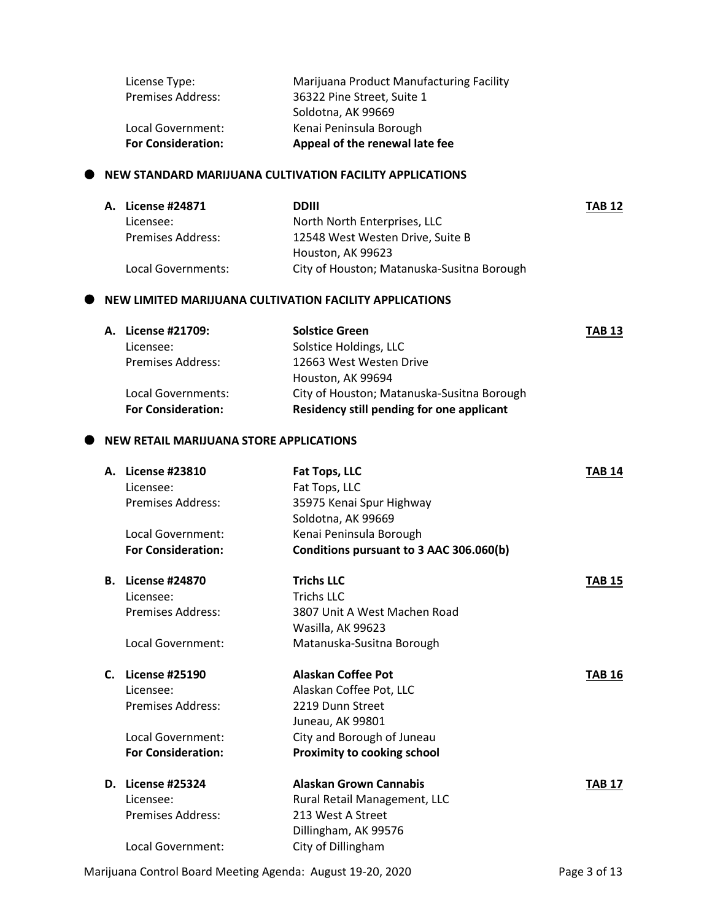| <b>For Consideration:</b> | Appeal of the renewal late fee           |
|---------------------------|------------------------------------------|
| Local Government:         | Kenai Peninsula Borough                  |
|                           | Soldotna, AK 99669                       |
| <b>Premises Address:</b>  | 36322 Pine Street, Suite 1               |
| License Type:             | Marijuana Product Manufacturing Facility |

### **NEW STANDARD MARIJUANA CULTIVATION FACILITY APPLICATIONS**

| A. License #24871        | DDIII                                      | <b>TAB 12</b> |
|--------------------------|--------------------------------------------|---------------|
| Licensee:                | North North Enterprises, LLC               |               |
| <b>Premises Address:</b> | 12548 West Westen Drive, Suite B           |               |
|                          | Houston, AK 99623                          |               |
| Local Governments:       | City of Houston; Matanuska-Susitna Borough |               |

### **NEW LIMITED MARIJUANA CULTIVATION FACILITY APPLICATIONS**

| <b>TAB 13</b>                              |
|--------------------------------------------|
|                                            |
| 12663 West Westen Drive                    |
|                                            |
| City of Houston; Matanuska-Susitna Borough |
| Residency still pending for one applicant  |
|                                            |

### **NEW RETAIL MARIJUANA STORE APPLICATIONS**

|                | A. License #23810         | Fat Tops, LLC                           | <b>TAB 14</b> |
|----------------|---------------------------|-----------------------------------------|---------------|
|                | Licensee:                 | Fat Tops, LLC                           |               |
|                | Premises Address:         | 35975 Kenai Spur Highway                |               |
|                |                           | Soldotna, AK 99669                      |               |
|                | Local Government:         | Kenai Peninsula Borough                 |               |
|                | <b>For Consideration:</b> | Conditions pursuant to 3 AAC 306.060(b) |               |
| В.             | <b>License #24870</b>     | <b>Trichs LLC</b>                       | <b>TAB 15</b> |
|                | Licensee:                 | Trichs LLC                              |               |
|                | Premises Address:         | 3807 Unit A West Machen Road            |               |
|                |                           | Wasilla, AK 99623                       |               |
|                | Local Government:         | Matanuska-Susitna Borough               |               |
| $\mathsf{C}$ . | <b>License #25190</b>     | <b>Alaskan Coffee Pot</b>               | <b>TAB 16</b> |
|                | Licensee:                 | Alaskan Coffee Pot, LLC                 |               |
|                | Premises Address:         | 2219 Dunn Street                        |               |
|                |                           | Juneau, AK 99801                        |               |
|                | Local Government:         | City and Borough of Juneau              |               |
|                | <b>For Consideration:</b> | Proximity to cooking school             |               |
|                | D. License #25324         | <b>Alaskan Grown Cannabis</b>           | <b>TAB 17</b> |
|                | Licensee:                 | Rural Retail Management, LLC            |               |
|                | Premises Address:         | 213 West A Street                       |               |
|                |                           | Dillingham, AK 99576                    |               |
|                | Local Government:         | City of Dillingham                      |               |
|                |                           |                                         |               |

Marijuana Control Board Meeting Agenda: August 19-20, 2020 Page 3 of 13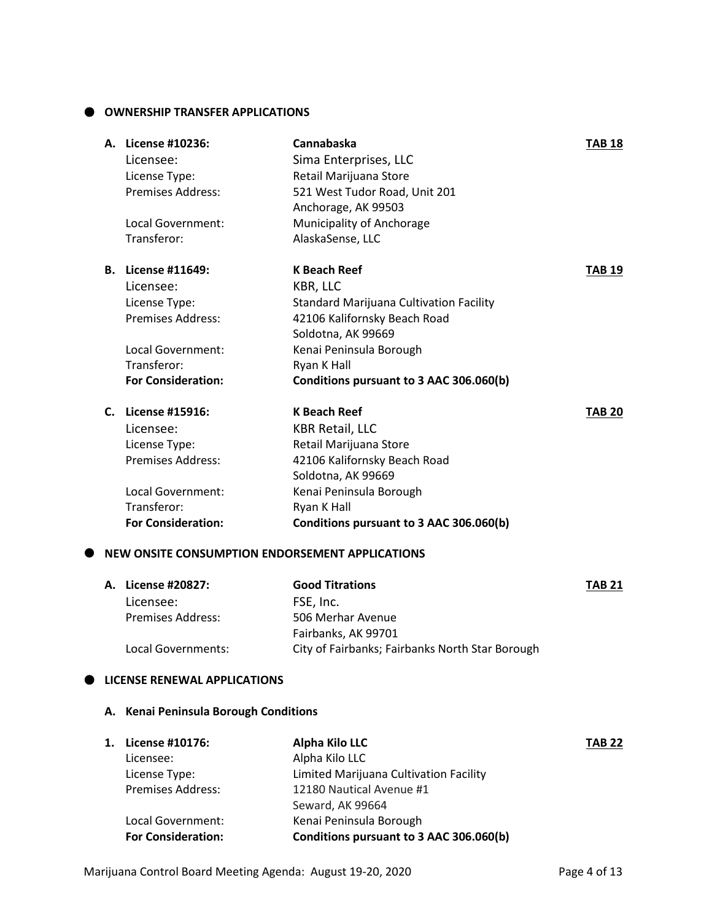### **OWNERSHIP TRANSFER APPLICATIONS**

|    | A. License #10236:        | Cannabaska                              | <b>TAB 18</b> |
|----|---------------------------|-----------------------------------------|---------------|
|    | Licensee:                 | Sima Enterprises, LLC                   |               |
|    | License Type:             | Retail Marijuana Store                  |               |
|    | <b>Premises Address:</b>  | 521 West Tudor Road, Unit 201           |               |
|    |                           | Anchorage, AK 99503                     |               |
|    | Local Government:         | Municipality of Anchorage               |               |
|    | Transferor:               | AlaskaSense, LLC                        |               |
| В. | License #11649:           | <b>K Beach Reef</b>                     | <b>TAB 19</b> |
|    | Licensee:                 | KBR, LLC                                |               |
|    | License Type:             | Standard Marijuana Cultivation Facility |               |
|    | <b>Premises Address:</b>  | 42106 Kalifornsky Beach Road            |               |
|    |                           | Soldotna, AK 99669                      |               |
|    | Local Government:         | Kenai Peninsula Borough                 |               |
|    | Transferor:               | Ryan K Hall                             |               |
|    | <b>For Consideration:</b> | Conditions pursuant to 3 AAC 306.060(b) |               |
| C. | License #15916:           | <b>K Beach Reef</b>                     | <b>TAB 20</b> |
|    | Licensee:                 | <b>KBR Retail, LLC</b>                  |               |
|    | License Type:             | Retail Marijuana Store                  |               |
|    | <b>Premises Address:</b>  | 42106 Kalifornsky Beach Road            |               |
|    |                           | Soldotna, AK 99669                      |               |
|    | Local Government:         | Kenai Peninsula Borough                 |               |
|    | Transferor:               | Ryan K Hall                             |               |
|    | <b>For Consideration:</b> | Conditions pursuant to 3 AAC 306.060(b) |               |
|    |                           |                                         |               |

### **NEW ONSITE CONSUMPTION ENDORSEMENT APPLICATIONS**

| A. License #20827:       | <b>Good Titrations</b>                          | <b>TAB 21</b> |
|--------------------------|-------------------------------------------------|---------------|
| Licensee:                | FSE. Inc.                                       |               |
| <b>Premises Address:</b> | 506 Merhar Avenue                               |               |
|                          | Fairbanks, AK 99701                             |               |
| Local Governments:       | City of Fairbanks; Fairbanks North Star Borough |               |

### **LICENSE RENEWAL APPLICATIONS**

### **A. Kenai Peninsula Borough Conditions**

| 1. | License #10176:           | <b>Alpha Kilo LLC</b>                   | <b>TAB 22</b> |
|----|---------------------------|-----------------------------------------|---------------|
|    | Licensee:                 | Alpha Kilo LLC                          |               |
|    | License Type:             | Limited Marijuana Cultivation Facility  |               |
|    | <b>Premises Address:</b>  | 12180 Nautical Avenue #1                |               |
|    |                           | Seward, AK 99664                        |               |
|    | Local Government:         | Kenai Peninsula Borough                 |               |
|    | <b>For Consideration:</b> | Conditions pursuant to 3 AAC 306.060(b) |               |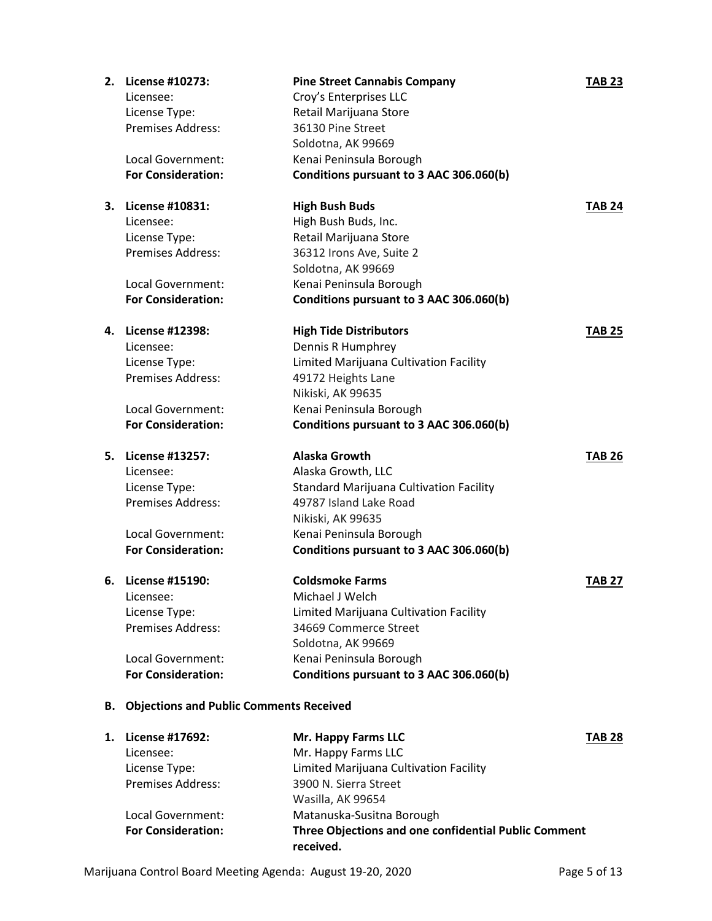| 2. | License #10273:                                   | <b>Pine Street Cannabis Company</b>            | <b>TAB 23</b> |
|----|---------------------------------------------------|------------------------------------------------|---------------|
|    | Licensee:                                         | Croy's Enterprises LLC                         |               |
|    | License Type:                                     | Retail Marijuana Store                         |               |
|    | <b>Premises Address:</b>                          | 36130 Pine Street                              |               |
|    |                                                   | Soldotna, AK 99669                             |               |
|    | Local Government:                                 | Kenai Peninsula Borough                        |               |
|    | <b>For Consideration:</b>                         | Conditions pursuant to 3 AAC 306.060(b)        |               |
| З. | License #10831:                                   | <b>High Bush Buds</b>                          | TAB 24        |
|    | Licensee:                                         | High Bush Buds, Inc.                           |               |
|    | License Type:                                     | Retail Marijuana Store                         |               |
|    | <b>Premises Address:</b>                          | 36312 Irons Ave, Suite 2                       |               |
|    |                                                   | Soldotna, AK 99669                             |               |
|    | Local Government:                                 | Kenai Peninsula Borough                        |               |
|    | <b>For Consideration:</b>                         | Conditions pursuant to 3 AAC 306.060(b)        |               |
| 4. | License #12398:                                   | <b>High Tide Distributors</b>                  | <b>TAB 25</b> |
|    | Licensee:                                         | Dennis R Humphrey                              |               |
|    | License Type:                                     | Limited Marijuana Cultivation Facility         |               |
|    | <b>Premises Address:</b>                          | 49172 Heights Lane                             |               |
|    |                                                   | Nikiski, AK 99635                              |               |
|    | Local Government:                                 | Kenai Peninsula Borough                        |               |
|    | <b>For Consideration:</b>                         | Conditions pursuant to 3 AAC 306.060(b)        |               |
| 5. | License #13257:                                   | Alaska Growth                                  | TAB 26        |
|    | Licensee:                                         | Alaska Growth, LLC                             |               |
|    | License Type:                                     | <b>Standard Marijuana Cultivation Facility</b> |               |
|    | Premises Address:                                 | 49787 Island Lake Road                         |               |
|    |                                                   | Nikiski, AK 99635                              |               |
|    | Local Government:                                 | Kenai Peninsula Borough                        |               |
|    | <b>For Consideration:</b>                         | Conditions pursuant to 3 AAC 306.060(b)        |               |
| 6. | License #15190:                                   | <b>Coldsmoke Farms</b>                         | TAB 27        |
|    | Licensee:                                         | Michael J Welch                                |               |
|    | License Type:                                     | Limited Marijuana Cultivation Facility         |               |
|    | <b>Premises Address:</b>                          | 34669 Commerce Street                          |               |
|    |                                                   | Soldotna, AK 99669                             |               |
|    | Local Government:                                 | Kenai Peninsula Borough                        |               |
|    | <b>For Consideration:</b>                         | Conditions pursuant to 3 AAC 306.060(b)        |               |
|    | <b>B.</b> Objections and Public Comments Received |                                                |               |
|    | $Iion = 417602$                                   | Mr. Hanny Farme IIC                            | TAD 70        |

| 1. | License #17692:           | Mr. Happy Farms LLC                                               | <b>TAB 28</b> |
|----|---------------------------|-------------------------------------------------------------------|---------------|
|    | Licensee:                 | Mr. Happy Farms LLC                                               |               |
|    | License Type:             | Limited Marijuana Cultivation Facility                            |               |
|    | <b>Premises Address:</b>  | 3900 N. Sierra Street                                             |               |
|    |                           | Wasilla, AK 99654                                                 |               |
|    | Local Government:         | Matanuska-Susitna Borough                                         |               |
|    | <b>For Consideration:</b> | Three Objections and one confidential Public Comment<br>received. |               |
|    |                           |                                                                   |               |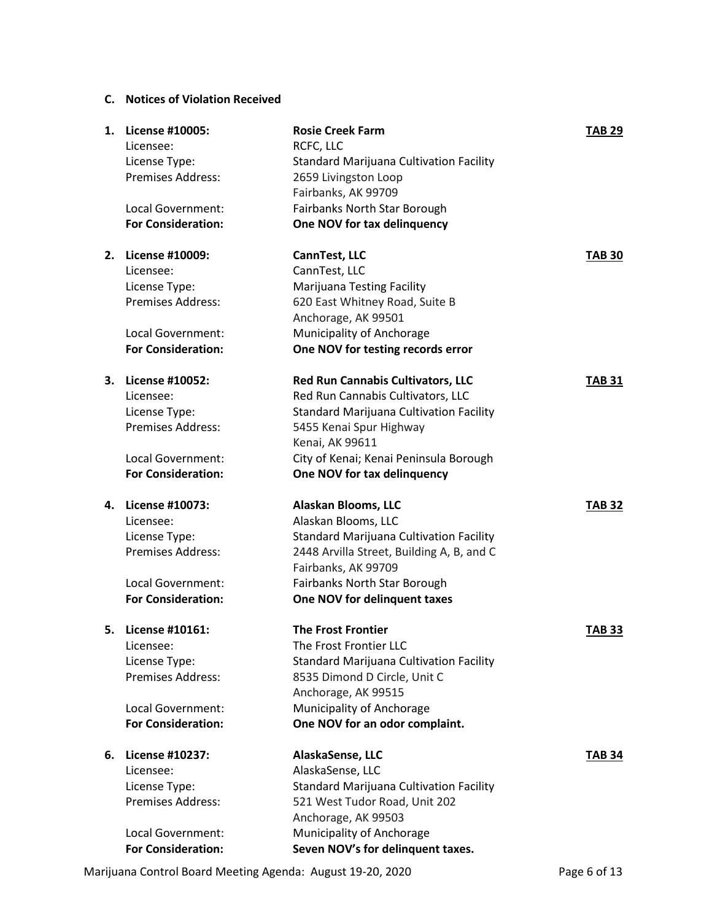### **C. Notices of Violation Received**

| 1. | License #10005:                           | <b>Rosie Creek Farm</b>                        | <b>TAB 29</b> |
|----|-------------------------------------------|------------------------------------------------|---------------|
|    | Licensee:                                 | RCFC, LLC                                      |               |
|    | License Type:                             | <b>Standard Marijuana Cultivation Facility</b> |               |
|    | Premises Address:                         | 2659 Livingston Loop                           |               |
|    |                                           | Fairbanks, AK 99709                            |               |
|    | Local Government:                         | Fairbanks North Star Borough                   |               |
|    | <b>For Consideration:</b>                 | One NOV for tax delinquency                    |               |
|    | 2. License #10009:                        |                                                |               |
|    |                                           | CannTest, LLC                                  | <b>TAB 30</b> |
|    | Licensee:                                 | CannTest, LLC                                  |               |
|    | License Type:<br><b>Premises Address:</b> | <b>Marijuana Testing Facility</b>              |               |
|    |                                           | 620 East Whitney Road, Suite B                 |               |
|    |                                           | Anchorage, AK 99501                            |               |
|    | Local Government:                         | Municipality of Anchorage                      |               |
|    | <b>For Consideration:</b>                 | One NOV for testing records error              |               |
|    | 3. License #10052:                        | <b>Red Run Cannabis Cultivators, LLC</b>       | <b>TAB 31</b> |
|    | Licensee:                                 | Red Run Cannabis Cultivators, LLC              |               |
|    | License Type:                             | <b>Standard Marijuana Cultivation Facility</b> |               |
|    | Premises Address:                         | 5455 Kenai Spur Highway                        |               |
|    |                                           | Kenai, AK 99611                                |               |
|    | Local Government:                         | City of Kenai; Kenai Peninsula Borough         |               |
|    | <b>For Consideration:</b>                 | One NOV for tax delinquency                    |               |
|    |                                           |                                                |               |
| 4. | <b>License #10073:</b>                    | Alaskan Blooms, LLC                            | <b>TAB 32</b> |
|    | Licensee:                                 | Alaskan Blooms, LLC                            |               |
|    | License Type:                             | <b>Standard Marijuana Cultivation Facility</b> |               |
|    | <b>Premises Address:</b>                  | 2448 Arvilla Street, Building A, B, and C      |               |
|    |                                           | Fairbanks, AK 99709                            |               |
|    | Local Government:                         | Fairbanks North Star Borough                   |               |
|    | <b>For Consideration:</b>                 | One NOV for delinquent taxes                   |               |
| 5. | License #10161:                           | <b>The Frost Frontier</b>                      | <b>TAB 33</b> |
|    | Licensee:                                 | The Frost Frontier LLC                         |               |
|    | License Type:                             | <b>Standard Marijuana Cultivation Facility</b> |               |
|    | <b>Premises Address:</b>                  | 8535 Dimond D Circle, Unit C                   |               |
|    |                                           | Anchorage, AK 99515                            |               |
|    | Local Government:                         | Municipality of Anchorage                      |               |
|    | <b>For Consideration:</b>                 | One NOV for an odor complaint.                 |               |
| 6. | License #10237:                           | AlaskaSense, LLC                               | <b>TAB 34</b> |
|    | Licensee:                                 | AlaskaSense, LLC                               |               |
|    | License Type:                             | <b>Standard Marijuana Cultivation Facility</b> |               |
|    | <b>Premises Address:</b>                  | 521 West Tudor Road, Unit 202                  |               |
|    |                                           | Anchorage, AK 99503                            |               |
|    | Local Government:                         |                                                |               |
|    | <b>For Consideration:</b>                 | Municipality of Anchorage                      |               |
|    |                                           | Seven NOV's for delinquent taxes.              |               |

Marijuana Control Board Meeting Agenda: August 19-20, 2020 Page 6 of 13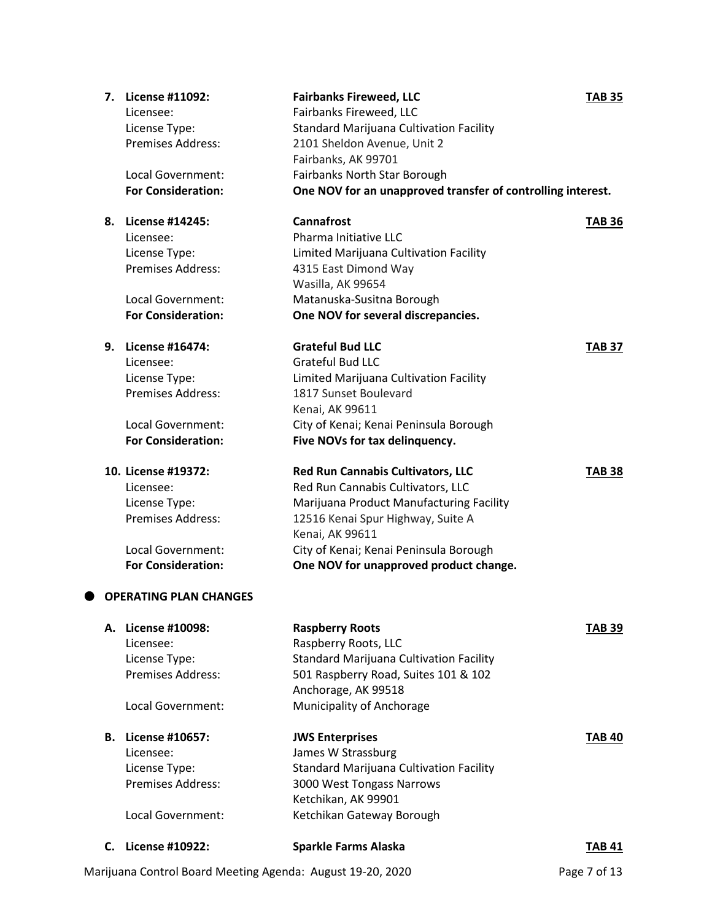|    | 7. License #11092:<br>Licensee: | <b>Fairbanks Fireweed, LLC</b><br>Fairbanks Fireweed, LLC   | <b>TAB 35</b> |
|----|---------------------------------|-------------------------------------------------------------|---------------|
|    | License Type:                   | <b>Standard Marijuana Cultivation Facility</b>              |               |
|    | <b>Premises Address:</b>        | 2101 Sheldon Avenue, Unit 2                                 |               |
|    |                                 | Fairbanks, AK 99701                                         |               |
|    | Local Government:               | Fairbanks North Star Borough                                |               |
|    | <b>For Consideration:</b>       | One NOV for an unapproved transfer of controlling interest. |               |
|    | 8. License #14245:              | <b>Cannafrost</b>                                           | <b>TAB 36</b> |
|    | Licensee:                       | Pharma Initiative LLC                                       |               |
|    | License Type:                   | Limited Marijuana Cultivation Facility                      |               |
|    | <b>Premises Address:</b>        | 4315 East Dimond Way                                        |               |
|    |                                 | Wasilla, AK 99654                                           |               |
|    | Local Government:               | Matanuska-Susitna Borough                                   |               |
|    | <b>For Consideration:</b>       | One NOV for several discrepancies.                          |               |
|    | 9. License #16474:              | <b>Grateful Bud LLC</b>                                     | <b>TAB 37</b> |
|    | Licensee:                       | <b>Grateful Bud LLC</b>                                     |               |
|    | License Type:                   | Limited Marijuana Cultivation Facility                      |               |
|    | <b>Premises Address:</b>        | 1817 Sunset Boulevard                                       |               |
|    |                                 | Kenai, AK 99611                                             |               |
|    | Local Government:               | City of Kenai; Kenai Peninsula Borough                      |               |
|    | <b>For Consideration:</b>       | Five NOVs for tax delinquency.                              |               |
|    | 10. License #19372:             | <b>Red Run Cannabis Cultivators, LLC</b>                    | <b>TAB 38</b> |
|    | Licensee:                       | Red Run Cannabis Cultivators, LLC                           |               |
|    | License Type:                   | Marijuana Product Manufacturing Facility                    |               |
|    | <b>Premises Address:</b>        | 12516 Kenai Spur Highway, Suite A                           |               |
|    |                                 | Kenai, AK 99611                                             |               |
|    | Local Government:               | City of Kenai; Kenai Peninsula Borough                      |               |
|    | <b>For Consideration:</b>       | One NOV for unapproved product change.                      |               |
|    | <b>OPERATING PLAN CHANGES</b>   |                                                             |               |
|    | A. License #10098:              | <b>Raspberry Roots</b>                                      | TAB 39        |
|    | Licensee:                       | Raspberry Roots, LLC                                        |               |
|    | License Type:                   | <b>Standard Marijuana Cultivation Facility</b>              |               |
|    | Premises Address:               | 501 Raspberry Road, Suites 101 & 102                        |               |
|    |                                 | Anchorage, AK 99518                                         |               |
|    | Local Government:               | Municipality of Anchorage                                   |               |
|    | <b>B.</b> License #10657:       | <b>JWS Enterprises</b>                                      | <b>TAB 40</b> |
|    | Licensee:                       | James W Strassburg                                          |               |
|    | License Type:                   | <b>Standard Marijuana Cultivation Facility</b>              |               |
|    | Premises Address:               | 3000 West Tongass Narrows                                   |               |
|    |                                 | Ketchikan, AK 99901                                         |               |
|    | Local Government:               | Ketchikan Gateway Borough                                   |               |
| C. | License #10922:                 | <b>Sparkle Farms Alaska</b>                                 | <b>TAB 41</b> |

Marijuana Control Board Meeting Agenda: August 19-20, 2020 Page 7 of 13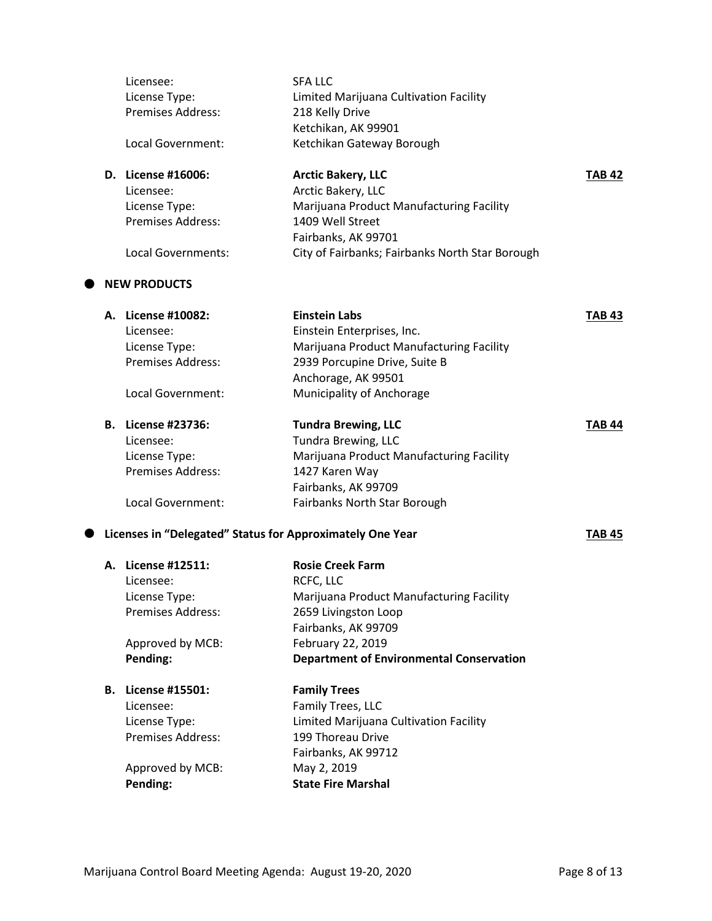|                                                           | Licensee:                 | <b>SFA LLC</b>                                  |               |
|-----------------------------------------------------------|---------------------------|-------------------------------------------------|---------------|
|                                                           | License Type:             | Limited Marijuana Cultivation Facility          |               |
|                                                           | Premises Address:         | 218 Kelly Drive                                 |               |
|                                                           |                           | Ketchikan, AK 99901                             |               |
|                                                           | Local Government:         | Ketchikan Gateway Borough                       |               |
|                                                           | D. License #16006:        | <b>Arctic Bakery, LLC</b>                       | <b>TAB 42</b> |
|                                                           | Licensee:                 | Arctic Bakery, LLC                              |               |
|                                                           | License Type:             | Marijuana Product Manufacturing Facility        |               |
|                                                           | <b>Premises Address:</b>  | 1409 Well Street                                |               |
|                                                           |                           | Fairbanks, AK 99701                             |               |
|                                                           | Local Governments:        | City of Fairbanks; Fairbanks North Star Borough |               |
|                                                           | <b>NEW PRODUCTS</b>       |                                                 |               |
|                                                           | A. License #10082:        | <b>Einstein Labs</b>                            | <b>TAB 43</b> |
|                                                           | Licensee:                 | Einstein Enterprises, Inc.                      |               |
|                                                           | License Type:             | Marijuana Product Manufacturing Facility        |               |
|                                                           | <b>Premises Address:</b>  | 2939 Porcupine Drive, Suite B                   |               |
|                                                           |                           | Anchorage, AK 99501                             |               |
|                                                           | Local Government:         | Municipality of Anchorage                       |               |
|                                                           | <b>B.</b> License #23736: | <b>Tundra Brewing, LLC</b>                      | <b>TAB 44</b> |
|                                                           | Licensee:                 | Tundra Brewing, LLC                             |               |
|                                                           | License Type:             | Marijuana Product Manufacturing Facility        |               |
|                                                           | <b>Premises Address:</b>  | 1427 Karen Way                                  |               |
|                                                           |                           | Fairbanks, AK 99709                             |               |
|                                                           | Local Government:         | Fairbanks North Star Borough                    |               |
| Licenses in "Delegated" Status for Approximately One Year |                           |                                                 | <b>TAB 45</b> |
|                                                           | A. License #12511:        | <b>Rosie Creek Farm</b>                         |               |
|                                                           | Licensee:                 | RCFC, LLC                                       |               |
|                                                           | License Type:             | Marijuana Product Manufacturing Facility        |               |
|                                                           | Premises Address:         | 2659 Livingston Loop                            |               |
|                                                           |                           | Fairbanks, AK 99709                             |               |
|                                                           | Approved by MCB:          | February 22, 2019                               |               |
|                                                           | Pending:                  | <b>Department of Environmental Conservation</b> |               |
|                                                           | <b>B.</b> License #15501: | <b>Family Trees</b>                             |               |
|                                                           | Licensee:                 | Family Trees, LLC                               |               |
|                                                           | License Type:             | Limited Marijuana Cultivation Facility          |               |
|                                                           | <b>Premises Address:</b>  | 199 Thoreau Drive                               |               |
|                                                           |                           | Fairbanks, AK 99712                             |               |
|                                                           | Approved by MCB:          | May 2, 2019                                     |               |
|                                                           | Pending:                  | <b>State Fire Marshal</b>                       |               |
|                                                           |                           |                                                 |               |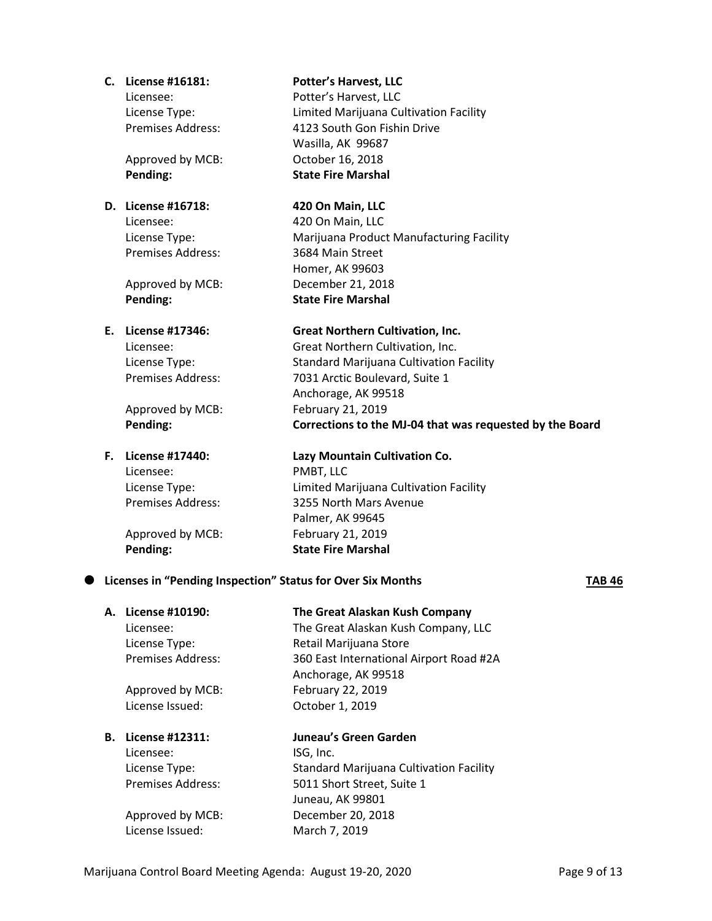|           | C. License #16181:       | <b>Potter's Harvest, LLC</b>                                |        |
|-----------|--------------------------|-------------------------------------------------------------|--------|
|           | Licensee:                | Potter's Harvest, LLC                                       |        |
|           | License Type:            | Limited Marijuana Cultivation Facility                      |        |
|           | Premises Address:        | 4123 South Gon Fishin Drive                                 |        |
|           |                          | Wasilla, AK 99687                                           |        |
|           | Approved by MCB:         | October 16, 2018                                            |        |
|           | Pending:                 | <b>State Fire Marshal</b>                                   |        |
|           | D. License #16718:       | 420 On Main, LLC                                            |        |
|           | Licensee:                | 420 On Main, LLC                                            |        |
|           | License Type:            | Marijuana Product Manufacturing Facility                    |        |
|           | <b>Premises Address:</b> | 3684 Main Street                                            |        |
|           |                          | Homer, AK 99603                                             |        |
|           | Approved by MCB:         | December 21, 2018                                           |        |
|           | Pending:                 | <b>State Fire Marshal</b>                                   |        |
|           | E. License #17346:       | <b>Great Northern Cultivation, Inc.</b>                     |        |
|           | Licensee:                | Great Northern Cultivation, Inc.                            |        |
|           | License Type:            | <b>Standard Marijuana Cultivation Facility</b>              |        |
|           | <b>Premises Address:</b> | 7031 Arctic Boulevard, Suite 1                              |        |
|           |                          | Anchorage, AK 99518                                         |        |
|           | Approved by MCB:         | February 21, 2019                                           |        |
|           | Pending:                 | Corrections to the MJ-04 that was requested by the Board    |        |
|           | F. License #17440:       | Lazy Mountain Cultivation Co.                               |        |
|           | Licensee:                | PMBT, LLC                                                   |        |
|           | License Type:            | Limited Marijuana Cultivation Facility                      |        |
|           | Premises Address:        | 3255 North Mars Avenue                                      |        |
|           |                          | Palmer, AK 99645                                            |        |
|           | Approved by MCB:         | February 21, 2019                                           |        |
|           | Pending:                 | <b>State Fire Marshal</b>                                   |        |
| $\bullet$ |                          | Licenses in "Pending Inspection" Status for Over Six Months | TAB 46 |
|           | A. License #10190:       | The Great Alaskan Kush Company                              |        |
|           | Licensee:                | The Great Alaskan Kush Company, LLC                         |        |
|           | License Type:            | Retail Marijuana Store                                      |        |
|           | Premises Address:        | 360 East International Airport Road #2A                     |        |
|           |                          | Anchorage, AK 99518                                         |        |

Approved by MCB: February 22, 2019 License Issued: October 1, 2019

Licensee: ISG, Inc.

**B. License #12311: Juneau's Green Garden**

License Type: Standard Marijuana Cultivation Facility Premises Address: 5011 Short Street, Suite 1 Juneau, AK 99801 Approved by MCB: December 20, 2018 License Issued: March 7, 2019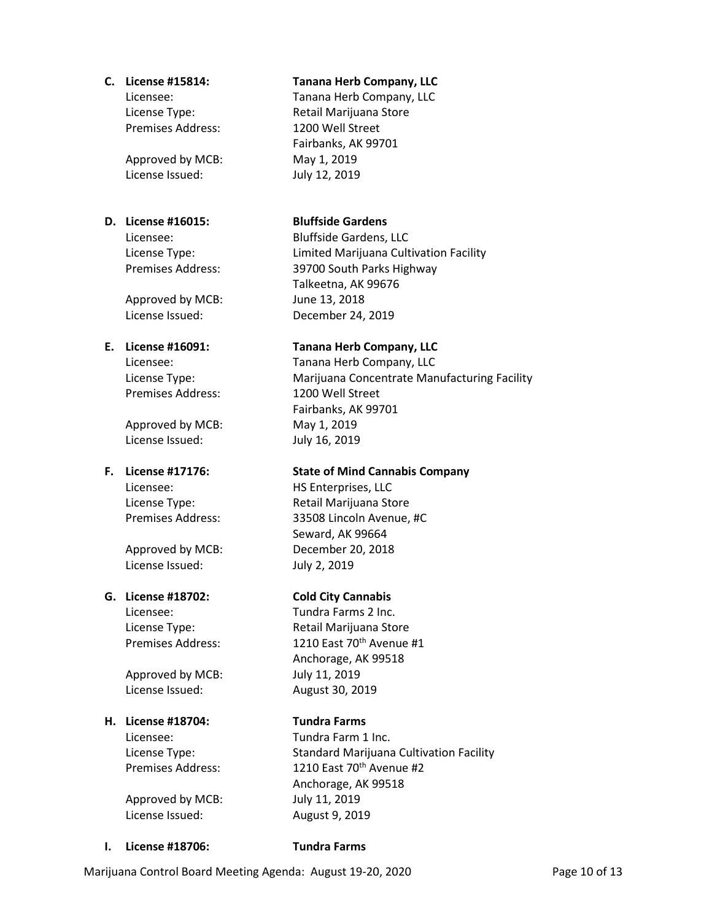Premises Address: 1200 Well Street

Approved by MCB: May 1, 2019 License Issued: July 12, 2019

### **D. License #16015: Bluffside Gardens**

Approved by MCB: June 13, 2018

Premises Address: 1200 Well Street

Approved by MCB: May 1, 2019 License Issued: July 16, 2019

License Issued: July 2, 2019

### **G. License #18702: Cold City Cannabis**

Approved by MCB: July 11, 2019 License Issued: August 30, 2019

### **H. License #18704: Tundra Farms**

Approved by MCB: July 11, 2019 License Issued: August 9, 2019

### **C. License #15814: Tanana Herb Company, LLC**

Licensee: Tanana Herb Company, LLC License Type: Retail Marijuana Store Fairbanks, AK 99701

Licensee: Bluffside Gardens, LLC License Type: Limited Marijuana Cultivation Facility Premises Address: 39700 South Parks Highway Talkeetna, AK 99676 License Issued: December 24, 2019

### **E. License #16091: Tanana Herb Company, LLC**

Licensee: Tanana Herb Company, LLC License Type: Marijuana Concentrate Manufacturing Facility Fairbanks, AK 99701

### **F. License #17176: State of Mind Cannabis Company**

Licensee: HS Enterprises, LLC License Type: Retail Marijuana Store Premises Address: 33508 Lincoln Avenue, #C Seward, AK 99664 Approved by MCB: December 20, 2018

Licensee: Tundra Farms 2 Inc. License Type: Retail Marijuana Store Premises Address: 1210 East 70<sup>th</sup> Avenue #1 Anchorage, AK 99518

Licensee: Tundra Farm 1 Inc. License Type: Standard Marijuana Cultivation Facility Premises Address: 1210 East 70<sup>th</sup> Avenue #2 Anchorage, AK 99518

**I. License #18706: Tundra Farms**

Marijuana Control Board Meeting Agenda: August 19-20, 2020 Page 10 of 13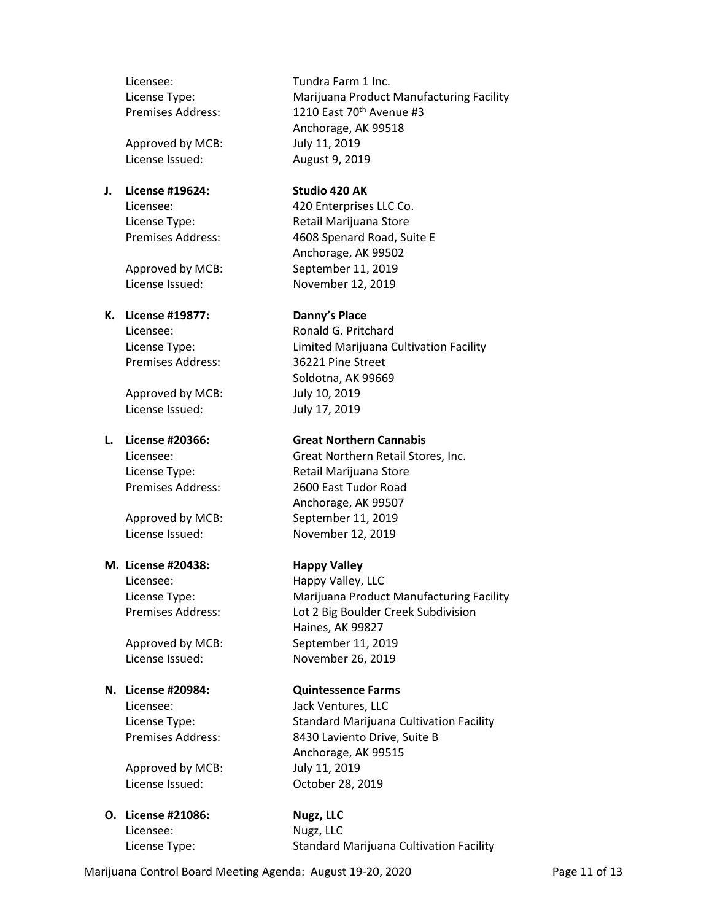Licensee: Tundra Farm 1 Inc.

Approved by MCB: July 11, 2019

# **J. License #19624: Studio 420 AK**

### **K. License #19877: Danny's Place**

Premises Address: 36221 Pine Street

Approved by MCB: July 10, 2019 License Issued: July 17, 2019

### **M. License #20438: Happy Valley**

Licensee: Jack Ventures, LLC

Approved by MCB: July 11, 2019 License Issued: October 28, 2019

### **O. License #21086: Nugz, LLC** Licensee: Nugz, LLC

License Type: Marijuana Product Manufacturing Facility Premises Address: 1210 East 70<sup>th</sup> Avenue #3 Anchorage, AK 99518 License Issued: August 9, 2019

Licensee: 420 Enterprises LLC Co. License Type: Retail Marijuana Store Premises Address: 4608 Spenard Road, Suite E Anchorage, AK 99502 Approved by MCB: September 11, 2019 License Issued: November 12, 2019

Licensee: Ronald G. Pritchard License Type: Limited Marijuana Cultivation Facility Soldotna, AK 99669

### **L. License #20366: Great Northern Cannabis**

Licensee: Great Northern Retail Stores, Inc. License Type: Retail Marijuana Store Premises Address: 2600 East Tudor Road Anchorage, AK 99507 Approved by MCB: September 11, 2019 License Issued: November 12, 2019

Licensee: Happy Valley, LLC License Type: Marijuana Product Manufacturing Facility Premises Address: Lot 2 Big Boulder Creek Subdivision Haines, AK 99827 Approved by MCB: September 11, 2019 License Issued: November 26, 2019

### **N. License #20984: Quintessence Farms**

License Type: Standard Marijuana Cultivation Facility Premises Address: 8430 Laviento Drive, Suite B Anchorage, AK 99515

License Type: Standard Marijuana Cultivation Facility

Marijuana Control Board Meeting Agenda: August 19-20, 2020 Page 11 of 13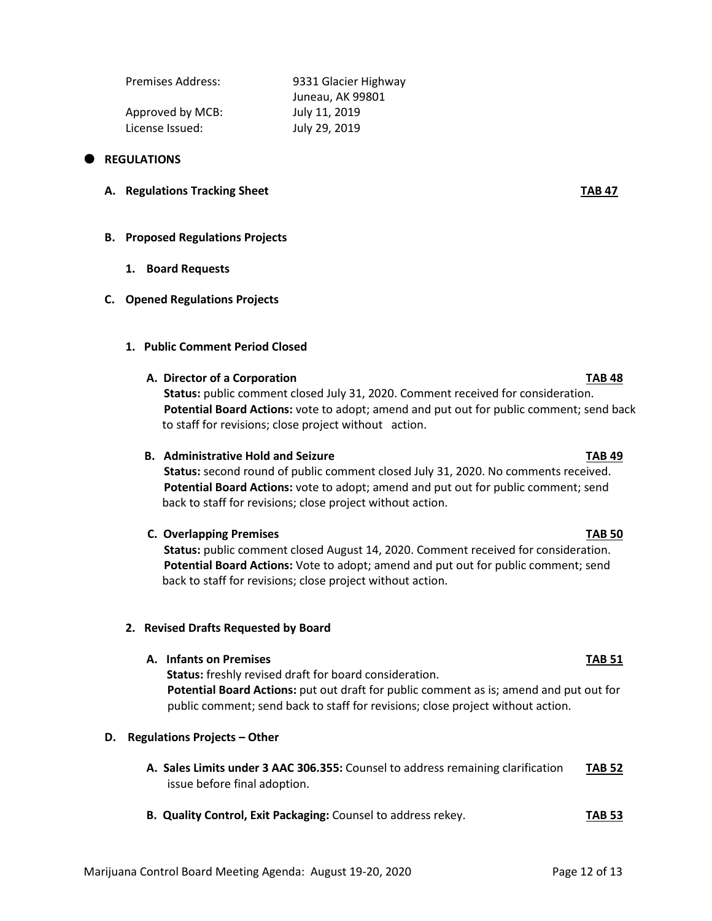| Premises Address: | 9331 Glacier Highway |  |  |
|-------------------|----------------------|--|--|
|                   | Juneau, AK 99801     |  |  |
| Approved by MCB:  | July 11, 2019        |  |  |
| License Issued:   | July 29, 2019        |  |  |
|                   |                      |  |  |

### **REGULATIONS**

**A. Regulations Tracking Sheet TAB 47**

### **B. Proposed Regulations Projects**

**1. Board Requests**

### **C. Opened Regulations Projects**

**1. Public Comment Period Closed**

### **A. Director of a Corporation TAB 48**

 **Status:** public comment closed July 31, 2020. Comment received for consideration.  **Potential Board Actions:** vote to adopt; amend and put out for public comment; send back to staff for revisions; close project without action.

### **B. Administrative Hold and Seizure TAB 49**

 **Status:** second round of public comment closed July 31, 2020. No comments received.  **Potential Board Actions:** vote to adopt; amend and put out for public comment; send back to staff for revisions; close project without action.

### **C. Overlapping Premises TAB 50**

 **Status:** public comment closed August 14, 2020. Comment received for consideration.  **Potential Board Actions:** Vote to adopt; amend and put out for public comment; send back to staff for revisions; close project without action.

### **2. Revised Drafts Requested by Board**

### **A. Infants on Premises TAB 51**

 **Status:** freshly revised draft for board consideration. **Potential Board Actions:** put out draft for public comment as is; amend and put out for public comment; send back to staff for revisions; close project without action.

### **D. Regulations Projects – Other**

- **A. Sales Limits under 3 AAC 306.355:** Counsel to address remaining clarification **TAB 52** issue before final adoption.
- **B. Quality Control, Exit Packaging:** Counsel to address rekey. **TAB 53**